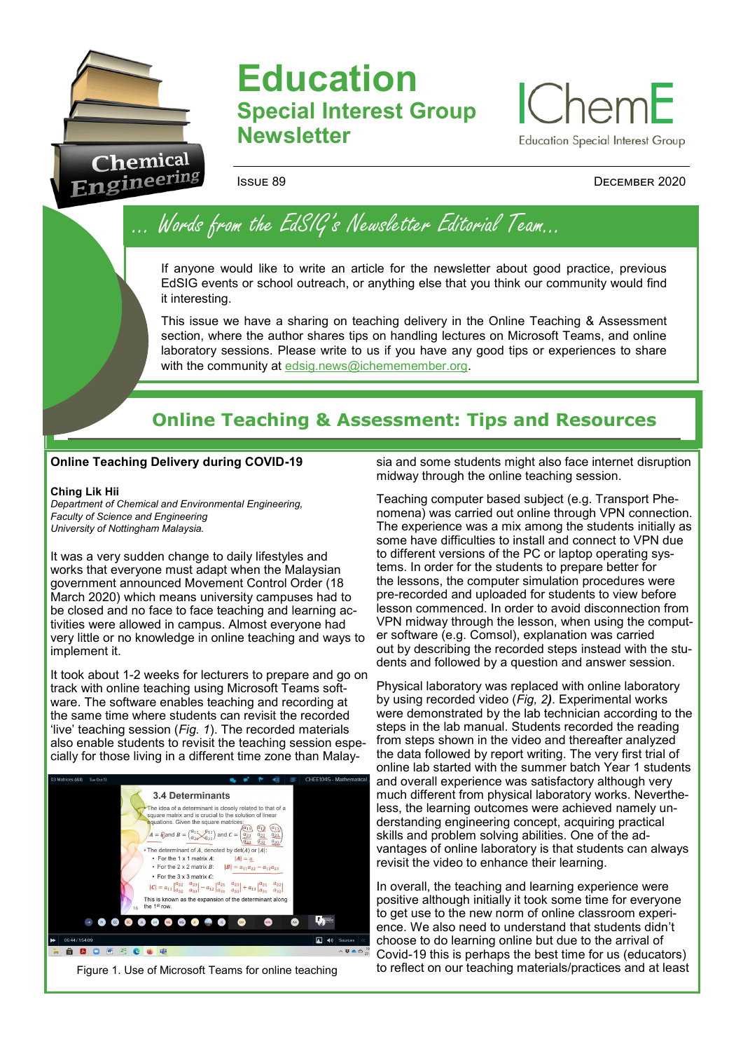

# **Education Special Interest Group Newsletter**



### Issue 89 December 2020

… Words from the EdSIG's Newsletter Editorial Team…

If anyone would like to write an article for the newsletter about good practice, previous EdSIG events or school outreach, or anything else that you think our community would find it interesting.

This issue we have a sharing on teaching delivery in the Online Teaching & Assessment section, where the author shares tips on handling lectures on Microsoft Teams, and online laboratory sessions. Please write to us if you have any good tips or experiences to share with the community at edsig.news@ichememember.org.

## **Online Teaching & Assessment: Tips and Resources**

#### **Online Teaching Delivery during COVID-19**

#### **Ching Lik Hii**

*Department of Chemical and Environmental Engineering, Faculty of Science and Engineering University of Nottingham Malaysia.*

It was a very sudden change to daily lifestyles and works that everyone must adapt when the Malaysian government announced Movement Control Order (18 March 2020) which means university campuses had to be closed and no face to face teaching and learning activities were allowed in campus. Almost everyone had very little or no knowledge in online teaching and ways to implement it.

It took about 1-2 weeks for lecturers to prepare and go on track with online teaching using Microsoft Teams software. The software enables teaching and recording at the same time where students can revisit the recorded 'live' teaching session (*Fig. 1*). The recorded materials also enable students to revisit the teaching session especially for those living in a different time zone than Malay-



sia and some students might also face internet disruption midway through the online teaching session.

Teaching computer based subject (e.g. Transport Phenomena) was carried out online through VPN connection. The experience was a mix among the students initially as some have difficulties to install and connect to VPN due to different versions of the PC or laptop operating systems. In order for the students to prepare better for the lessons, the computer simulation procedures were pre-recorded and uploaded for students to view before lesson commenced. In order to avoid disconnection from VPN midway through the lesson, when using the computer software (e.g. Comsol), explanation was carried out by describing the recorded steps instead with the students and followed by a question and answer session.

Physical laboratory was replaced with online laboratory by using recorded video (*Fig, 2)*. Experimental works were demonstrated by the lab technician according to the steps in the lab manual. Students recorded the reading from steps shown in the video and thereafter analyzed the data followed by report writing. The very first trial of online lab started with the summer batch Year 1 students and overall experience was satisfactory although very much different from physical laboratory works. Nevertheless, the learning outcomes were achieved namely understanding engineering concept, acquiring practical skills and problem solving abilities. One of the advantages of online laboratory is that students can always revisit the video to enhance their learning.

In overall, the teaching and learning experience were positive although initially it took some time for everyone to get use to the new norm of online classroom experience. We also need to understand that students didn't choose to do learning online but due to the arrival of Covid-19 this is perhaps the best time for us (educators)